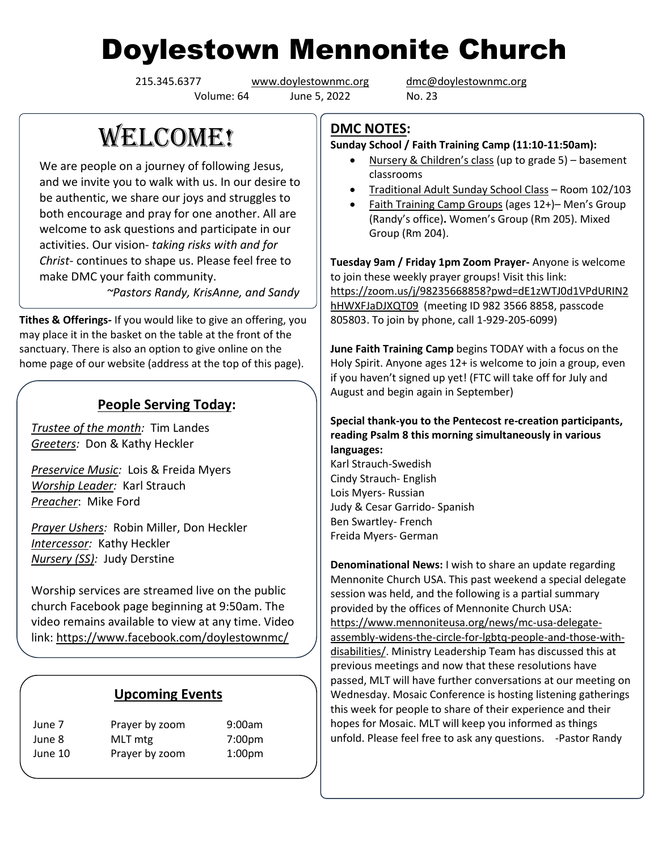# Doylestown Mennonite Church

Volume: 64 June 5, 2022 No. 23

215.345.6377 [www.doylestownmc.org](http://www.doylestownmc.org/) [dmc@doylestownmc.org](mailto:dmc@doylestownmc.org)

## **WELCOME!**

We are people on a journey of following Jesus, and we invite you to walk with us. In our desire to be authentic, we share our joys and struggles to both encourage and pray for one another. All are welcome to ask questions and participate in our activities. Our vision- *taking risks with and for Christ*- continues to shape us. Please feel free to make DMC your faith community.

 *~Pastors Randy, KrisAnne, and Sandy*

**Tithes & Offerings-** If you would like to give an offering, you may place it in the basket on the table at the front of the sanctuary. There is also an option to give online on the home page of our website (address at the top of this page).

#### **People Serving Today:**

*Trustee of the month:* Tim Landes *Greeters:* Don & Kathy Heckler

*Preservice Music:* Lois & Freida Myers *Worship Leader:* Karl Strauch *Preacher*: Mike Ford

*Prayer Ushers:* Robin Miller, Don Heckler *Intercessor:* Kathy Heckler *Nursery (SS):* Judy Derstine

Worship services are streamed live on the public church Facebook page beginning at 9:50am. The video remains available to view at any time. Video link: <https://www.facebook.com/doylestownmc/>

#### **Upcoming Events**

| June 7  | Prayer by zoom | 9:00am             |
|---------|----------------|--------------------|
| June 8  | MLT mtg        | 7:00pm             |
| June 10 | Prayer by zoom | 1:00 <sub>pm</sub> |

### **DMC NOTES:**

**Sunday School / Faith Training Camp (11:10-11:50am):**

- Nursery & Children's class (up to grade 5) basement classrooms
- Traditional Adult Sunday School Class Room 102/103
- Faith Training Camp Groups (ages 12+)– Men's Group (Randy's office)**.** Women's Group (Rm 205). Mixed Group (Rm 204).

**Tuesday 9am / Friday 1pm Zoom Prayer-** Anyone is welcome to join these weekly prayer groups! Visit this link: [https://zoom.us/j/98235668858?pwd=dE1zWTJ0d1VPdURIN2](https://zoom.us/j/98235668858?pwd=dE1zWTJ0d1VPdURIN2hHWXFJaDJXQT09) [hHWXFJaDJXQT09](https://zoom.us/j/98235668858?pwd=dE1zWTJ0d1VPdURIN2hHWXFJaDJXQT09) (meeting ID 982 3566 8858, passcode 805803. To join by phone, call 1-929-205-6099)

**June Faith Training Camp** begins TODAY with a focus on the Holy Spirit. Anyone ages 12+ is welcome to join a group, even if you haven't signed up yet! (FTC will take off for July and August and begin again in September)

#### **Special thank-you to the Pentecost re-creation participants, reading Psalm 8 this morning simultaneously in various languages:**

Karl Strauch-Swedish Cindy Strauch- English Lois Myers- Russian Judy & Cesar Garrido- Spanish Ben Swartley- French Freida Myers- German

**Denominational News:** I wish to share an update regarding Mennonite Church USA. This past weekend a special delegate session was held, and the following is a partial summary provided by the offices of Mennonite Church USA: https://www.mennoniteusa.org/news/mc-usa-delegateassembly-widens-the-circle-for-lgbtq-people-and-those-withdisabilities/. Ministry Leadership Team has discussed this at previous meetings and now that these resolutions have passed, MLT will have further conversations at our meeting on Wednesday. Mosaic Conference is hosting listening gatherings this week for people to share of their experience and their hopes for Mosaic. MLT will keep you informed as things unfold. Please feel free to ask any questions. -Pastor Randy